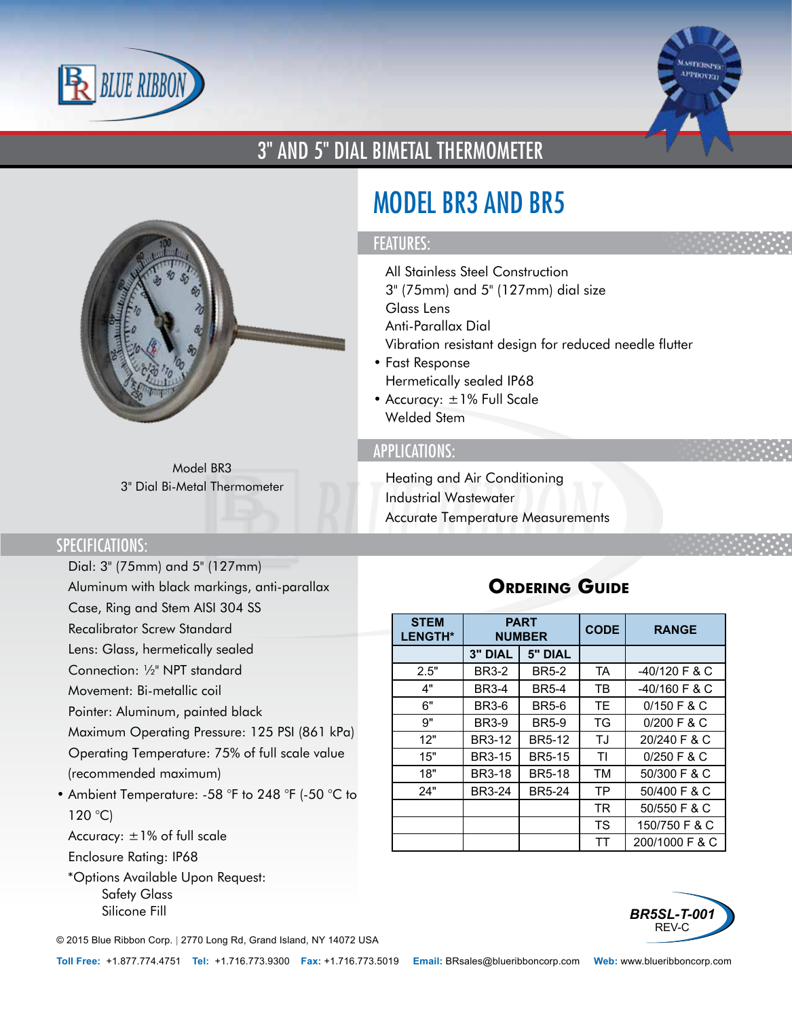



## 3" AND 5" DIAL BIMETAL THERMOMETER



Model BR3 3" Dial Bi-Metal Thermometer

# MODEL BR3 AND BR5

#### FEATURES:

- All Stainless Steel Construction
- 3" (75mm) and 5" (127mm) dial size
- Glass Lens
- Anti-Parallax Dial
- Vibration resistant design for reduced needle flutter
- Fast Response
- Hermetically sealed IP68
- Accuracy: ±1% Full Scale
- Welded Stem

#### APPLICATIONS:

- Heating and Air Conditioning
- Industrial Wastewater
- Accurate Temperature Measurements

#### SPECIFICATIONS:

- Dial: 3" (75mm) and 5" (127mm)
- Aluminum with black markings, anti-parallax
- Case, Ring and Stem AISI 304 SS
- Recalibrator Screw Standard
- Lens: Glass, hermetically sealed
- Connection: ½" NPT standard
- Movement: Bi-metallic coil
- Pointer: Aluminum, painted black
- Maximum Operating Pressure: 125 PSI (861 kPa)
- Operating Temperature: 75% of full scale value (recommended maximum)
- Ambient Temperature: -58 °F to 248 °F (-50 °C to  $120 °C$
- Accuracy: ±1% of full scale
- Enclosure Rating: IP68
	- \*Options Available Upon Request:
		- Safety Glass
		- Silicone Fill

© 2015 Blue Ribbon Corp. *<sup>|</sup>* 2770 Long Rd, Grand Island, NY 14072 USA

### **Ordering Guide**

| <b>STEM</b><br><b>LENGTH*</b> | <b>PART</b><br><b>NUMBER</b> |               | <b>CODE</b> | <b>RANGE</b>    |  |
|-------------------------------|------------------------------|---------------|-------------|-----------------|--|
|                               | <b>3" DIAL</b>               | 5" DIAL       |             |                 |  |
| 2.5"                          | <b>BR3-2</b>                 | <b>BR5-2</b>  | <b>TA</b>   | $-40/120$ F & C |  |
| 4"                            | <b>BR3-4</b>                 | <b>BR5-4</b>  | ТB          | $-40/160$ F & C |  |
| 6"                            | <b>BR3-6</b>                 | <b>BR5-6</b>  | TE          | $0/150$ F & C   |  |
| 9"                            | <b>BR3-9</b>                 | <b>BR5-9</b>  | TG          | $0/200$ F & C   |  |
| 12"                           | <b>BR3-12</b>                | <b>BR5-12</b> | TJ          | 20/240 F & C    |  |
| 15"                           | <b>BR3-15</b>                | <b>BR5-15</b> | ΤI          | $0/250$ F & C   |  |
| 18"                           | <b>BR3-18</b>                | <b>BR5-18</b> | <b>TM</b>   | 50/300 F & C    |  |
| 24"                           | <b>BR3-24</b>                | <b>BR5-24</b> | TP          | 50/400 F & C    |  |
|                               |                              |               | <b>TR</b>   | 50/550 F & C    |  |
|                               |                              |               | TS          | 150/750 F & C   |  |
|                               |                              |               | TТ          | 200/1000 F & C  |  |